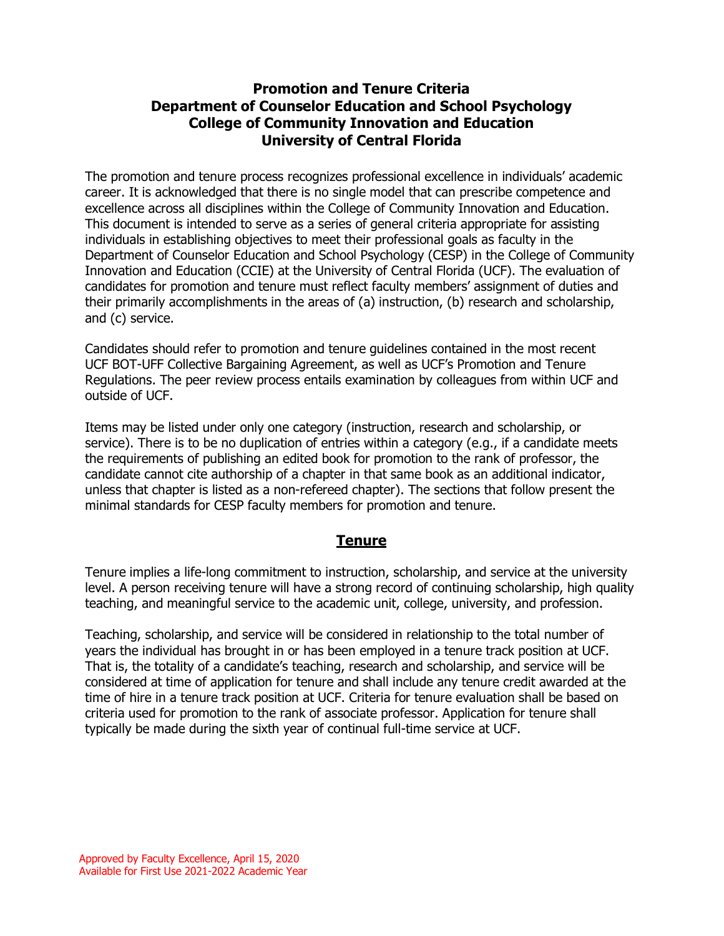## **Promotion and Tenure Criteria Department of Counselor Education and School Psychology College of Community Innovation and Education University of Central Florida**

The promotion and tenure process recognizes professional excellence in individuals' academic career. It is acknowledged that there is no single model that can prescribe competence and excellence across all disciplines within the College of Community Innovation and Education. This document is intended to serve as a series of general criteria appropriate for assisting individuals in establishing objectives to meet their professional goals as faculty in the Department of Counselor Education and School Psychology (CESP) in the College of Community Innovation and Education (CCIE) at the University of Central Florida (UCF). The evaluation of candidates for promotion and tenure must reflect faculty members' assignment of duties and their primarily accomplishments in the areas of (a) instruction, (b) research and scholarship, and (c) service.

Candidates should refer to promotion and tenure guidelines contained in the most recent UCF BOT-UFF Collective Bargaining Agreement, as well as UCF's Promotion and Tenure Regulations. The peer review process entails examination by colleagues from within UCF and outside of UCF.

Items may be listed under only one category (instruction, research and scholarship, or service). There is to be no duplication of entries within a category (e.g., if a candidate meets the requirements of publishing an edited book for promotion to the rank of professor, the candidate cannot cite authorship of a chapter in that same book as an additional indicator, unless that chapter is listed as a non-refereed chapter). The sections that follow present the minimal standards for CESP faculty members for promotion and tenure.

### **Tenure**

Tenure implies a life-long commitment to instruction, scholarship, and service at the university level. A person receiving tenure will have a strong record of continuing scholarship, high quality teaching, and meaningful service to the academic unit, college, university, and profession.

Teaching, scholarship, and service will be considered in relationship to the total number of years the individual has brought in or has been employed in a tenure track position at UCF. That is, the totality of a candidate's teaching, research and scholarship, and service will be considered at time of application for tenure and shall include any tenure credit awarded at the time of hire in a tenure track position at UCF. Criteria for tenure evaluation shall be based on criteria used for promotion to the rank of associate professor. Application for tenure shall typically be made during the sixth year of continual full-time service at UCF.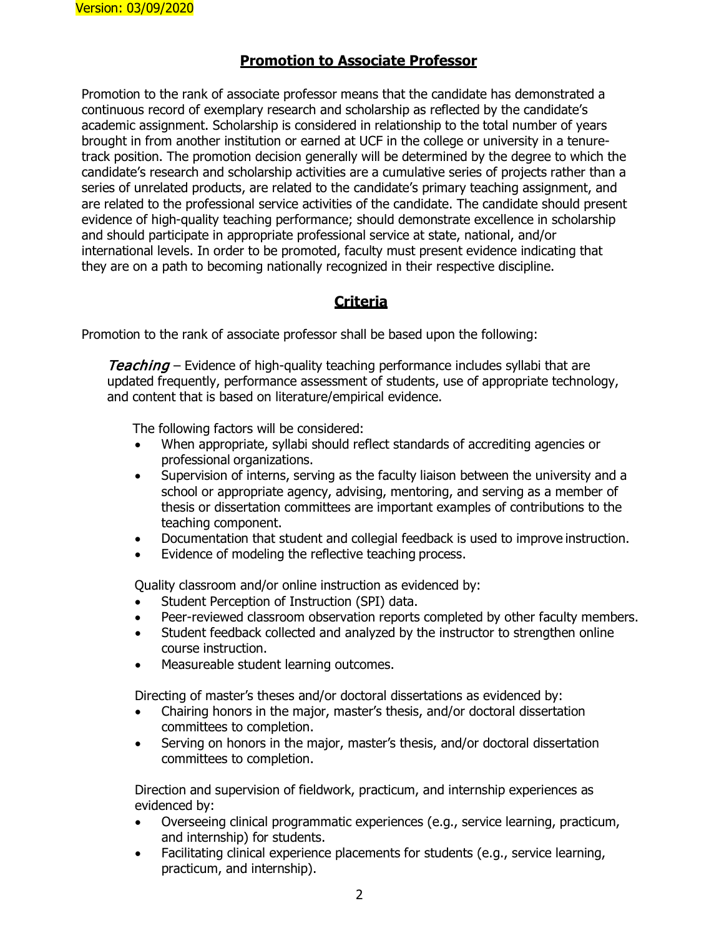#### **Promotion to Associate Professor**

Promotion to the rank of associate professor means that the candidate has demonstrated a continuous record of exemplary research and scholarship as reflected by the candidate's academic assignment. Scholarship is considered in relationship to the total number of years brought in from another institution or earned at UCF in the college or university in a tenuretrack position. The promotion decision generally will be determined by the degree to which the candidate's research and scholarship activities are a cumulative series of projects rather than a series of unrelated products, are related to the candidate's primary teaching assignment, and are related to the professional service activities of the candidate. The candidate should present evidence of high-quality teaching performance; should demonstrate excellence in scholarship and should participate in appropriate professional service at state, national, and/or international levels. In order to be promoted, faculty must present evidence indicating that they are on a path to becoming nationally recognized in their respective discipline.

# **Criteria**

Promotion to the rank of associate professor shall be based upon the following:

**Teaching** – Evidence of high-quality teaching performance includes syllabi that are updated frequently, performance assessment of students, use of appropriate technology, and content that is based on literature/empirical evidence.

The following factors will be considered:

- When appropriate, syllabi should reflect standards of accrediting agencies or professional organizations.
- Supervision of interns, serving as the faculty liaison between the university and a school or appropriate agency, advising, mentoring, and serving as a member of thesis or dissertation committees are important examples of contributions to the teaching component.
- Documentation that student and collegial feedback is used to improve instruction.
- Evidence of modeling the reflective teaching process.

Quality classroom and/or online instruction as evidenced by:

- Student Perception of Instruction (SPI) data.
- Peer-reviewed classroom observation reports completed by other faculty members.
- Student feedback collected and analyzed by the instructor to strengthen online course instruction.
- Measureable student learning outcomes.

Directing of master's theses and/or doctoral dissertations as evidenced by:

- Chairing honors in the major, master's thesis, and/or doctoral dissertation committees to completion.
- Serving on honors in the major, master's thesis, and/or doctoral dissertation committees to completion.

Direction and supervision of fieldwork, practicum, and internship experiences as evidenced by:

- Overseeing clinical programmatic experiences (e.g., service learning, practicum, and internship) for students.
- Facilitating clinical experience placements for students (e.g., service learning, practicum, and internship).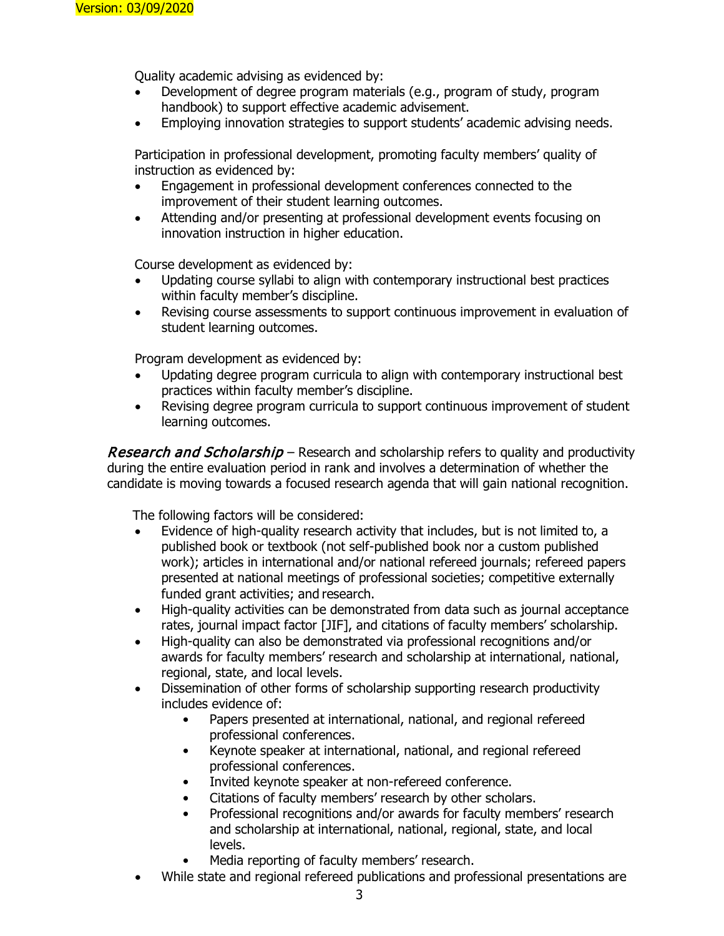Quality academic advising as evidenced by:

- Development of degree program materials (e.g., program of study, program handbook) to support effective academic advisement.
- Employing innovation strategies to support students' academic advising needs.

Participation in professional development, promoting faculty members' quality of instruction as evidenced by:

- Engagement in professional development conferences connected to the improvement of their student learning outcomes.
- Attending and/or presenting at professional development events focusing on innovation instruction in higher education.

Course development as evidenced by:

- Updating course syllabi to align with contemporary instructional best practices within faculty member's discipline.
- Revising course assessments to support continuous improvement in evaluation of student learning outcomes.

Program development as evidenced by:

- Updating degree program curricula to align with contemporary instructional best practices within faculty member's discipline.
- Revising degree program curricula to support continuous improvement of student learning outcomes.

**Research and Scholarship** – Research and scholarship refers to quality and productivity during the entire evaluation period in rank and involves a determination of whether the candidate is moving towards a focused research agenda that will gain national recognition.

The following factors will be considered:

- Evidence of high-quality research activity that includes, but is not limited to, a published book or textbook (not self-published book nor a custom published work); articles in international and/or national refereed journals; refereed papers presented at national meetings of professional societies; competitive externally funded grant activities; and research.
- High-quality activities can be demonstrated from data such as journal acceptance rates, journal impact factor [JIF], and citations of faculty members' scholarship.
- High-quality can also be demonstrated via professional recognitions and/or awards for faculty members' research and scholarship at international, national, regional, state, and local levels.
- Dissemination of other forms of scholarship supporting research productivity includes evidence of:
	- Papers presented at international, national, and regional refereed professional conferences.
	- Keynote speaker at international, national, and regional refereed professional conferences.
	- Invited keynote speaker at non-refereed conference.
	- Citations of faculty members' research by other scholars.
	- Professional recognitions and/or awards for faculty members' research and scholarship at international, national, regional, state, and local levels.
	- Media reporting of faculty members' research.
- While state and regional refereed publications and professional presentations are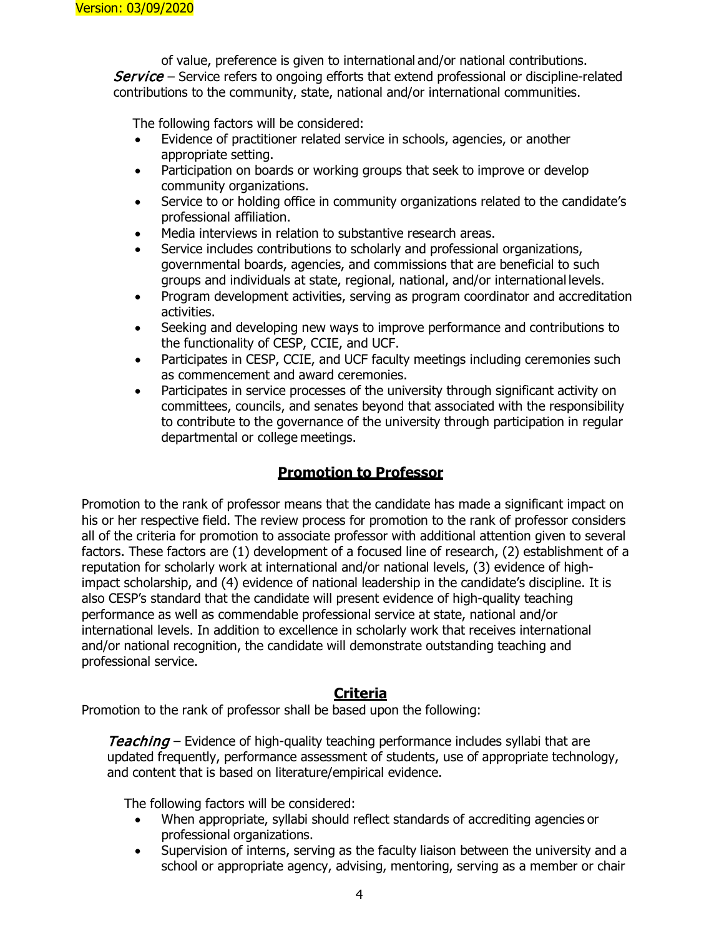of value, preference is given to international and/or national contributions. **Service** – Service refers to ongoing efforts that extend professional or discipline-related contributions to the community, state, national and/or international communities.

The following factors will be considered:

- Evidence of practitioner related service in schools, agencies, or another appropriate setting.
- Participation on boards or working groups that seek to improve or develop community organizations.
- Service to or holding office in community organizations related to the candidate's professional affiliation.
- Media interviews in relation to substantive research areas.
- Service includes contributions to scholarly and professional organizations, governmental boards, agencies, and commissions that are beneficial to such groups and individuals at state, regional, national, and/or international levels.
- Program development activities, serving as program coordinator and accreditation activities.
- Seeking and developing new ways to improve performance and contributions to the functionality of CESP, CCIE, and UCF.
- Participates in CESP, CCIE, and UCF faculty meetings including ceremonies such as commencement and award ceremonies.
- Participates in service processes of the university through significant activity on committees, councils, and senates beyond that associated with the responsibility to contribute to the governance of the university through participation in regular departmental or college meetings.

## **Promotion to Professor**

Promotion to the rank of professor means that the candidate has made a significant impact on his or her respective field. The review process for promotion to the rank of professor considers all of the criteria for promotion to associate professor with additional attention given to several factors. These factors are (1) development of a focused line of research, (2) establishment of a reputation for scholarly work at international and/or national levels, (3) evidence of highimpact scholarship, and (4) evidence of national leadership in the candidate's discipline. It is also CESP's standard that the candidate will present evidence of high-quality teaching performance as well as commendable professional service at state, national and/or international levels. In addition to excellence in scholarly work that receives international and/or national recognition, the candidate will demonstrate outstanding teaching and professional service.

## **Criteria**

Promotion to the rank of professor shall be based upon the following:

**Teaching** – Evidence of high-quality teaching performance includes syllabi that are updated frequently, performance assessment of students, use of appropriate technology, and content that is based on literature/empirical evidence.

The following factors will be considered:

- When appropriate, syllabi should reflect standards of accrediting agencies or professional organizations.
- Supervision of interns, serving as the faculty liaison between the university and a school or appropriate agency, advising, mentoring, serving as a member or chair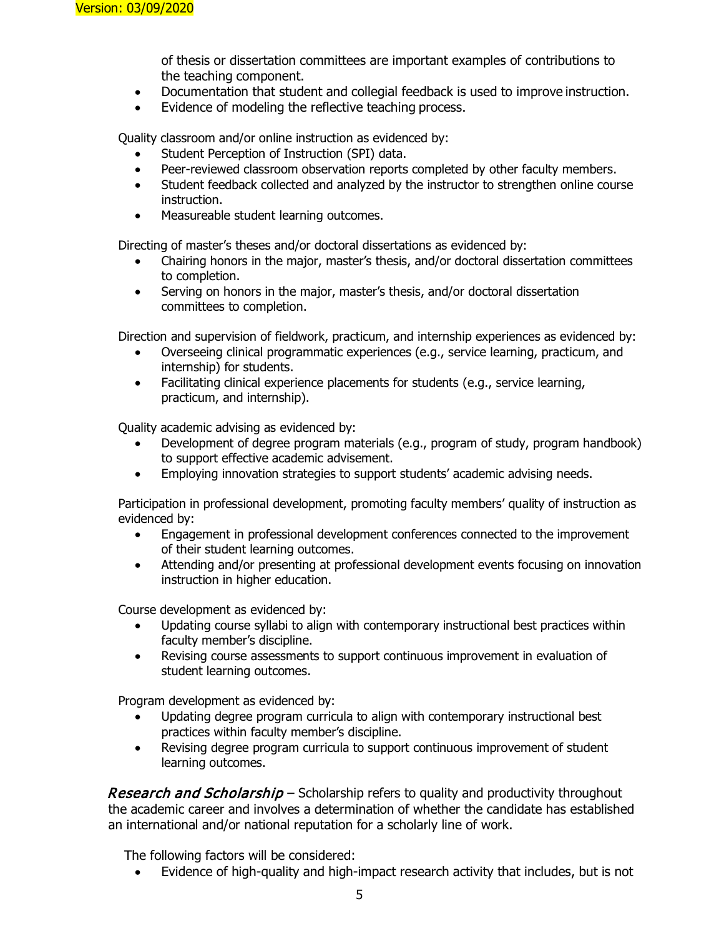of thesis or dissertation committees are important examples of contributions to the teaching component.

- Documentation that student and collegial feedback is used to improve instruction.
- Evidence of modeling the reflective teaching process.

Quality classroom and/or online instruction as evidenced by:

- Student Perception of Instruction (SPI) data.
- Peer-reviewed classroom observation reports completed by other faculty members.
- Student feedback collected and analyzed by the instructor to strengthen online course instruction.
- Measureable student learning outcomes.

Directing of master's theses and/or doctoral dissertations as evidenced by:

- Chairing honors in the major, master's thesis, and/or doctoral dissertation committees to completion.
- Serving on honors in the major, master's thesis, and/or doctoral dissertation committees to completion.

Direction and supervision of fieldwork, practicum, and internship experiences as evidenced by:

- Overseeing clinical programmatic experiences (e.g., service learning, practicum, and internship) for students.
- Facilitating clinical experience placements for students (e.g., service learning, practicum, and internship).

Quality academic advising as evidenced by:

- Development of degree program materials (e.g., program of study, program handbook) to support effective academic advisement.
- Employing innovation strategies to support students' academic advising needs.

Participation in professional development, promoting faculty members' quality of instruction as evidenced by:

- Engagement in professional development conferences connected to the improvement of their student learning outcomes.
- Attending and/or presenting at professional development events focusing on innovation instruction in higher education.

Course development as evidenced by:

- Updating course syllabi to align with contemporary instructional best practices within faculty member's discipline.
- Revising course assessments to support continuous improvement in evaluation of student learning outcomes.

Program development as evidenced by:

- Updating degree program curricula to align with contemporary instructional best practices within faculty member's discipline.
- Revising degree program curricula to support continuous improvement of student learning outcomes.

Research and Scholarship – Scholarship refers to quality and productivity throughout the academic career and involves a determination of whether the candidate has established an international and/or national reputation for a scholarly line of work.

The following factors will be considered:

• Evidence of high-quality and high-impact research activity that includes, but is not